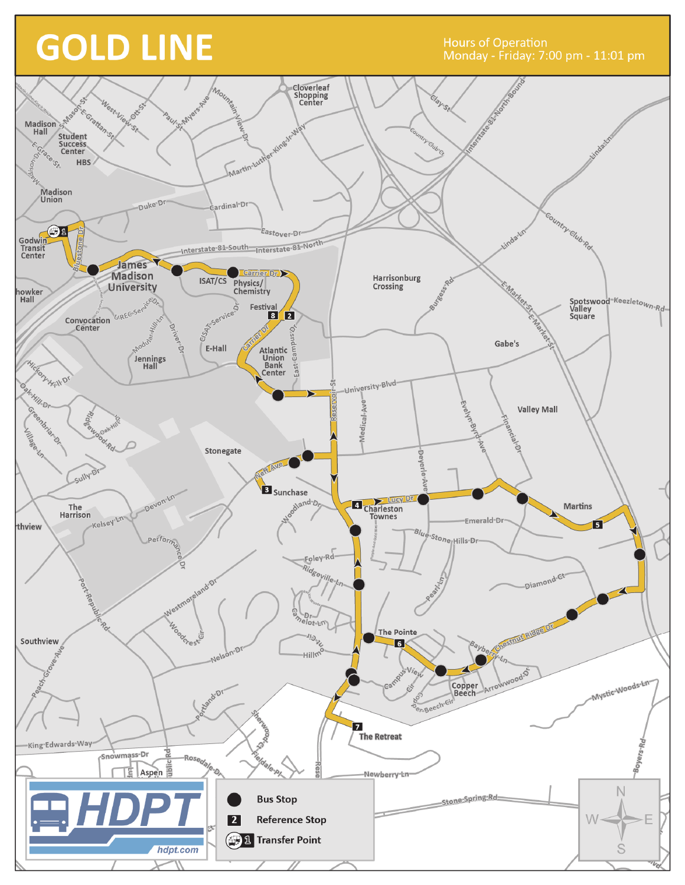## **GOLD LINE**

**Hours of Operation**